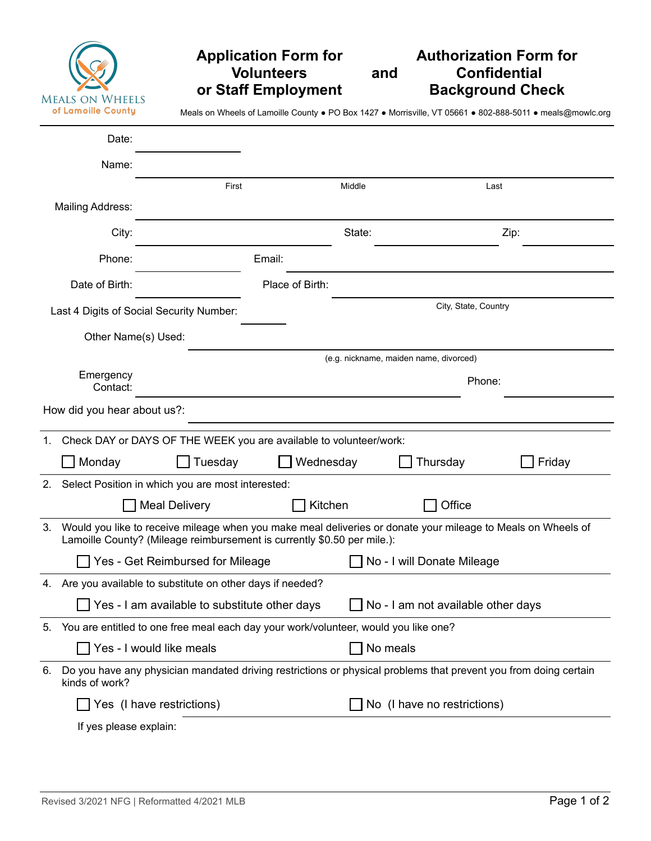| <b>MEALS ON WHEELS</b><br>of Lamoille County |
|----------------------------------------------|

## **Application Form for Authorization Form for And Confidential Background Check** *<u>or Staff Employment</u>*

Meals on Wheels of Lamoille County ● PO Box 1427 ● Morrisville, VT 05661 ● 802-888-5011 ● meals@mowlc.org

|                                                                                                                                          | Date:                                                                                                                                                                                   |                                                                                     |                 |        |                                        |        |
|------------------------------------------------------------------------------------------------------------------------------------------|-----------------------------------------------------------------------------------------------------------------------------------------------------------------------------------------|-------------------------------------------------------------------------------------|-----------------|--------|----------------------------------------|--------|
|                                                                                                                                          | Name:                                                                                                                                                                                   |                                                                                     |                 |        |                                        |        |
|                                                                                                                                          |                                                                                                                                                                                         | First                                                                               |                 | Middle |                                        | Last   |
|                                                                                                                                          | <b>Mailing Address:</b>                                                                                                                                                                 |                                                                                     |                 |        |                                        |        |
|                                                                                                                                          | City:                                                                                                                                                                                   |                                                                                     |                 | State: |                                        | Zip:   |
|                                                                                                                                          | Phone:                                                                                                                                                                                  |                                                                                     | Email:          |        |                                        |        |
|                                                                                                                                          | Date of Birth:                                                                                                                                                                          |                                                                                     | Place of Birth: |        |                                        |        |
| City, State, Country<br>Last 4 Digits of Social Security Number:                                                                         |                                                                                                                                                                                         |                                                                                     |                 |        |                                        |        |
|                                                                                                                                          | Other Name(s) Used:                                                                                                                                                                     |                                                                                     |                 |        |                                        |        |
|                                                                                                                                          |                                                                                                                                                                                         |                                                                                     |                 |        | (e.g. nickname, maiden name, divorced) |        |
|                                                                                                                                          | Emergency<br>Contact:                                                                                                                                                                   |                                                                                     |                 |        | Phone:                                 |        |
|                                                                                                                                          | How did you hear about us?:                                                                                                                                                             |                                                                                     |                 |        |                                        |        |
| 1.                                                                                                                                       |                                                                                                                                                                                         | Check DAY or DAYS OF THE WEEK you are available to volunteer/work:                  |                 |        |                                        |        |
|                                                                                                                                          | Monday                                                                                                                                                                                  | Tuesday                                                                             | Wednesday       |        | Thursday                               | Friday |
| 2.                                                                                                                                       |                                                                                                                                                                                         | Select Position in which you are most interested:                                   |                 |        |                                        |        |
|                                                                                                                                          |                                                                                                                                                                                         | <b>Meal Delivery</b>                                                                | Kitchen         |        | Office                                 |        |
| 3.                                                                                                                                       | Would you like to receive mileage when you make meal deliveries or donate your mileage to Meals on Wheels of<br>Lamoille County? (Mileage reimbursement is currently \$0.50 per mile.): |                                                                                     |                 |        |                                        |        |
|                                                                                                                                          |                                                                                                                                                                                         | Yes - Get Reimbursed for Mileage                                                    |                 |        | No - I will Donate Mileage             |        |
|                                                                                                                                          |                                                                                                                                                                                         | 4. Are you available to substitute on other days if needed?                         |                 |        |                                        |        |
|                                                                                                                                          |                                                                                                                                                                                         | Yes - I am available to substitute other days                                       |                 |        | No - I am not available other days     |        |
| 5.                                                                                                                                       |                                                                                                                                                                                         | You are entitled to one free meal each day your work/volunteer, would you like one? |                 |        |                                        |        |
|                                                                                                                                          |                                                                                                                                                                                         | Yes - I would like meals                                                            |                 |        | No meals                               |        |
| Do you have any physician mandated driving restrictions or physical problems that prevent you from doing certain<br>6.<br>kinds of work? |                                                                                                                                                                                         |                                                                                     |                 |        |                                        |        |
|                                                                                                                                          |                                                                                                                                                                                         | Yes (I have restrictions)                                                           |                 |        | No (I have no restrictions)            |        |
|                                                                                                                                          | If yes please explain:                                                                                                                                                                  |                                                                                     |                 |        |                                        |        |